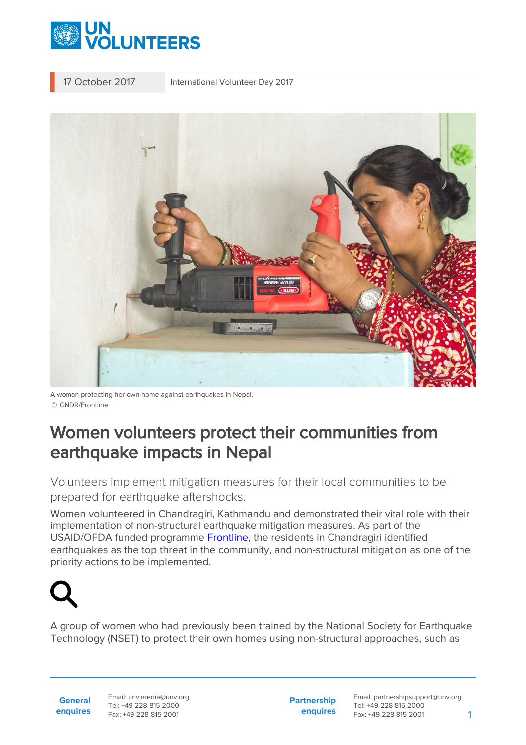

17 October 2017 International Volunteer Day 2017



A woman protecting her own home against earthquakes in Nepal. © GNDR/Frontline

## Women volunteers protect their communities from earthquake impacts in Nepal

Volunteers implement mitigation measures for their local communities to be prepared for earthquake aftershocks.

Women volunteered in Chandragiri, Kathmandu and demonstrated their vital role with their implementation of non-structural earthquake mitigation measures. As part of the USAID/OFDA funded programme [Frontline,](https://www.gndr.org/frontline) the residents in Chandragiri identified earthquakes as the top threat in the community, and non-structural mitigation as one of the priority actions to be implemented.



A group of women who had previously been trained by the National Society for Earthquake Technology (NSET) to protect their own homes using non-structural approaches, such as

**General enquires** Email: unv.media@unv.org Tel: +49-228-815 2000 Fax: +49-228-815 2001

**Partnership enquires** Email: partnershipsupport@unv.org Tel: +49-228-815 2000 Fax: +49-228-815 2001 1